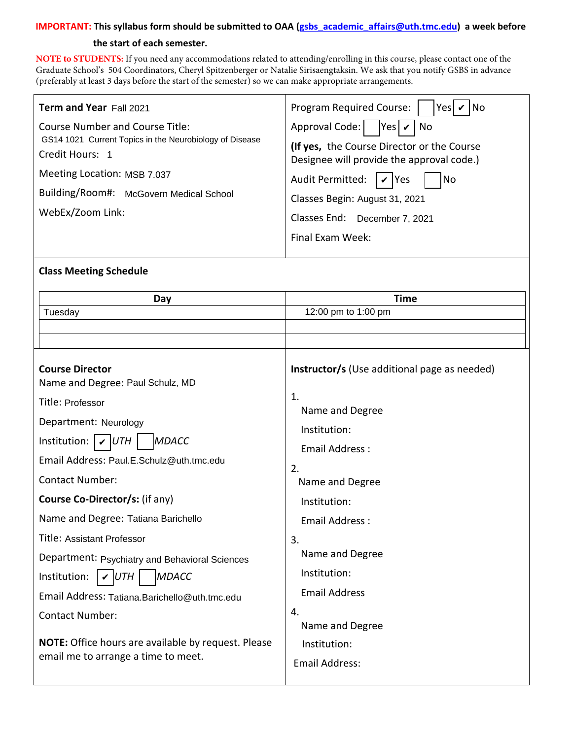### **IMPORTANT: This syllabus form should be submitted to OAA (gsbs\_academic\_affairs@uth.tmc.edu) a week before**

### **the start of each semester.**

**NOTE to STUDENTS:** If you need any accommodations related to attending/enrolling in this course, please contact one of the Graduate School's 504 Coordinators, [Cheryl Spitzenberger](mailto:Cheryl.A.Spitzenberger@uth.tmc.edu) or [Natalie Sirisaengtaksin](mailto:Natalie.Sirisaengtaksin@uth.tmc.edu). We ask that you notify GSBS in advance (preferably at least 3 days before the start of the semester) so we can make appropriate arrangements.

| <b>Term and Year Fall 2021</b>                                                                                       | Program Required Course:<br>$ Yes $ $\vee$ $ No$                                                                               |
|----------------------------------------------------------------------------------------------------------------------|--------------------------------------------------------------------------------------------------------------------------------|
| <b>Course Number and Course Title:</b><br>GS14 1021 Current Topics in the Neurobiology of Disease<br>Credit Hours: 1 | Approval Code: $ $   Yes $\nu$   No<br>(If yes, the Course Director or the Course<br>Designee will provide the approval code.) |
| Meeting Location: MSB 7.037<br>Building/Room#: McGovern Medical School<br>WebEx/Zoom Link:                           | Audit Permitted:<br>$ v $ Yes<br> No<br>Classes Begin: August 31, 2021<br>Classes End: December 7, 2021<br>Final Exam Week:    |

### **Class Meeting Schedule**

| Day                                                                                                                                                                                                                                                                                                                                                                                                                                        | <b>Time</b>                                                                                                                                                                                                                                |
|--------------------------------------------------------------------------------------------------------------------------------------------------------------------------------------------------------------------------------------------------------------------------------------------------------------------------------------------------------------------------------------------------------------------------------------------|--------------------------------------------------------------------------------------------------------------------------------------------------------------------------------------------------------------------------------------------|
| Tuesday                                                                                                                                                                                                                                                                                                                                                                                                                                    | 12:00 pm to 1:00 pm                                                                                                                                                                                                                        |
|                                                                                                                                                                                                                                                                                                                                                                                                                                            |                                                                                                                                                                                                                                            |
|                                                                                                                                                                                                                                                                                                                                                                                                                                            |                                                                                                                                                                                                                                            |
| <b>Course Director</b><br>Name and Degree: Paul Schulz, MD<br>Title: Professor<br>Department: Neurology<br>Institution:  <br><b>MDACC</b><br>$\boldsymbol{\nu}$ iuth<br>Email Address: Paul.E.Schulz@uth.tmc.edu<br><b>Contact Number:</b><br><b>Course Co-Director/s: (if any)</b><br>Name and Degree: Tatiana Barichello<br>Title: Assistant Professor<br>Department: Psychiatry and Behavioral Sciences<br>Institution:<br><b>MDACC</b> | <b>Instructor/s</b> (Use additional page as needed)<br>1.<br>Name and Degree<br>Institution:<br>Email Address:<br>2.<br>Name and Degree<br>Institution:<br>Email Address:<br>3.<br>Name and Degree<br>Institution:<br><b>Email Address</b> |
| Email Address: Tatiana.Barichello@uth.tmc.edu<br><b>Contact Number:</b>                                                                                                                                                                                                                                                                                                                                                                    | 4.                                                                                                                                                                                                                                         |
|                                                                                                                                                                                                                                                                                                                                                                                                                                            | Name and Degree                                                                                                                                                                                                                            |
| NOTE: Office hours are available by request. Please                                                                                                                                                                                                                                                                                                                                                                                        | Institution:                                                                                                                                                                                                                               |
| email me to arrange a time to meet.                                                                                                                                                                                                                                                                                                                                                                                                        | <b>Email Address:</b>                                                                                                                                                                                                                      |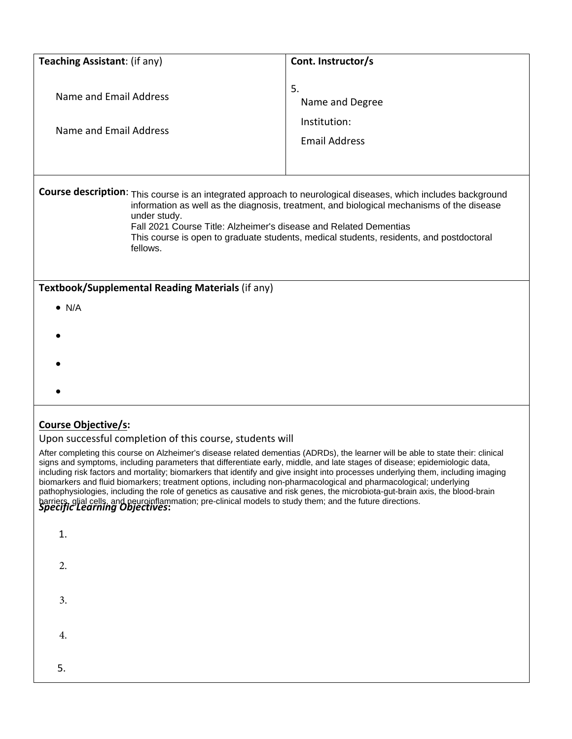| Teaching Assistant: (if any)                                                                                                                                                                                                                                                                                                                                                                                                                                                                  | Cont. Instructor/s                                            |  |  |
|-----------------------------------------------------------------------------------------------------------------------------------------------------------------------------------------------------------------------------------------------------------------------------------------------------------------------------------------------------------------------------------------------------------------------------------------------------------------------------------------------|---------------------------------------------------------------|--|--|
|                                                                                                                                                                                                                                                                                                                                                                                                                                                                                               |                                                               |  |  |
| Name and Email Address<br>Name and Email Address                                                                                                                                                                                                                                                                                                                                                                                                                                              | 5.<br>Name and Degree<br>Institution:<br><b>Email Address</b> |  |  |
| Course description: This course is an integrated approach to neurological diseases, which includes background<br>information as well as the diagnosis, treatment, and biological mechanisms of the disease<br>under study.<br>Fall 2021 Course Title: Alzheimer's disease and Related Dementias<br>This course is open to graduate students, medical students, residents, and postdoctoral<br>fellows.                                                                                        |                                                               |  |  |
| Textbook/Supplemental Reading Materials (if any)                                                                                                                                                                                                                                                                                                                                                                                                                                              |                                                               |  |  |
| $\bullet$ N/A                                                                                                                                                                                                                                                                                                                                                                                                                                                                                 |                                                               |  |  |
|                                                                                                                                                                                                                                                                                                                                                                                                                                                                                               |                                                               |  |  |
|                                                                                                                                                                                                                                                                                                                                                                                                                                                                                               |                                                               |  |  |
|                                                                                                                                                                                                                                                                                                                                                                                                                                                                                               |                                                               |  |  |
| <b>Course Objective/s:</b><br>Upon successful completion of this course, students will<br>After completing this course on Alzheimer's disease related dementias (ADRDs), the learner will be able to state their: clinical<br>signs and symptoms, including parameters that differentiate early, middle, and late stages of disease; epidemiologic data,<br>including risk factors and mortality; biomarkers that identify and give insight into processes underlying them, including imaging |                                                               |  |  |

*Specific Learning Objectives***:**  biomarkers and fluid biomarkers; treatment options, including non-pharmacological and pharmacological; underlying pathophysiologies, including the role of genetics as causative and risk genes, the microbiota-gut-brain axis, the blood-brain barriers, glial cells, and neuroinflammation; pre-clinical models to study them; and the future directions.

| 1. |  |  |  |
|----|--|--|--|
| 2. |  |  |  |
| 3. |  |  |  |
| 4. |  |  |  |
| 5. |  |  |  |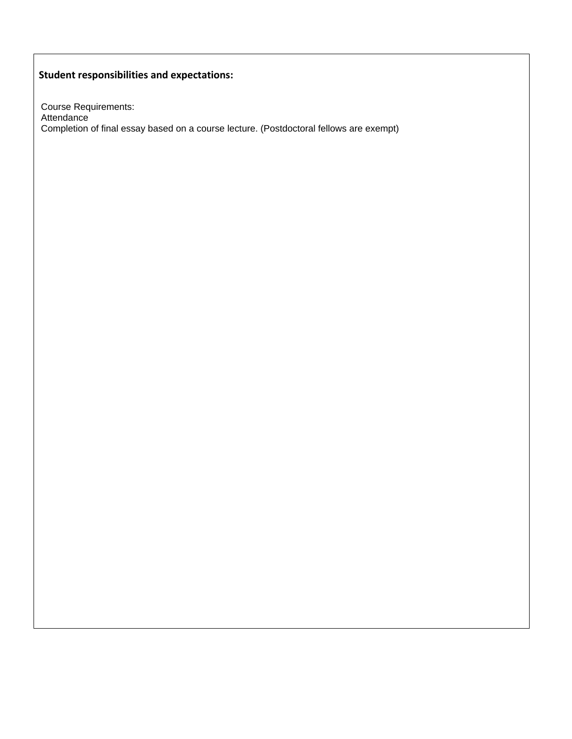# **Student responsibilities and expectations:**

Course Requirements: Attendance Completion of final essay based on a course lecture. (Postdoctoral fellows are exempt)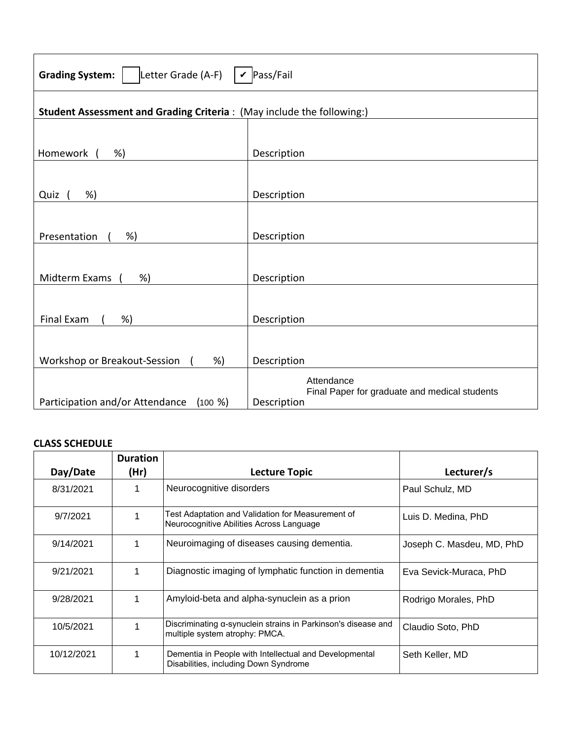| $\vert \mathbf{v} \vert$ Pass/Fail<br>Letter Grade (A-F)<br><b>Grading System:</b> |                                                              |  |  |
|------------------------------------------------------------------------------------|--------------------------------------------------------------|--|--|
| Student Assessment and Grading Criteria: (May include the following:)              |                                                              |  |  |
|                                                                                    |                                                              |  |  |
| Homework<br>%)                                                                     | Description                                                  |  |  |
|                                                                                    |                                                              |  |  |
| %)<br>Quiz                                                                         | Description                                                  |  |  |
|                                                                                    |                                                              |  |  |
| Presentation<br>%)                                                                 | Description                                                  |  |  |
|                                                                                    |                                                              |  |  |
| Midterm Exams<br>%)                                                                | Description                                                  |  |  |
|                                                                                    |                                                              |  |  |
| Final Exam<br>%)                                                                   | Description                                                  |  |  |
|                                                                                    |                                                              |  |  |
| Workshop or Breakout-Session<br>%)                                                 | Description                                                  |  |  |
|                                                                                    | Attendance                                                   |  |  |
| Participation and/or Attendance<br>$(100 \%)$                                      | Final Paper for graduate and medical students<br>Description |  |  |

## **CLASS SCHEDULE**

|            | <b>Duration</b> |                                                                                                 |                           |
|------------|-----------------|-------------------------------------------------------------------------------------------------|---------------------------|
| Day/Date   | (Hr)            | <b>Lecture Topic</b>                                                                            | Lecturer/s                |
| 8/31/2021  |                 | Neurocognitive disorders                                                                        | Paul Schulz, MD           |
| 9/7/2021   |                 | Test Adaptation and Validation for Measurement of<br>Neurocognitive Abilities Across Language   | Luis D. Medina, PhD       |
| 9/14/2021  |                 | Neuroimaging of diseases causing dementia.                                                      | Joseph C. Masdeu, MD, PhD |
| 9/21/2021  |                 | Diagnostic imaging of lymphatic function in dementia                                            | Eva Sevick-Muraca, PhD    |
| 9/28/2021  |                 | Amyloid-beta and alpha-synuclein as a prion                                                     | Rodrigo Morales, PhD      |
| 10/5/2021  |                 | Discriminating α-synuclein strains in Parkinson's disease and<br>multiple system atrophy: PMCA. | Claudio Soto, PhD         |
| 10/12/2021 |                 | Dementia in People with Intellectual and Developmental<br>Disabilities, including Down Syndrome | Seth Keller, MD           |